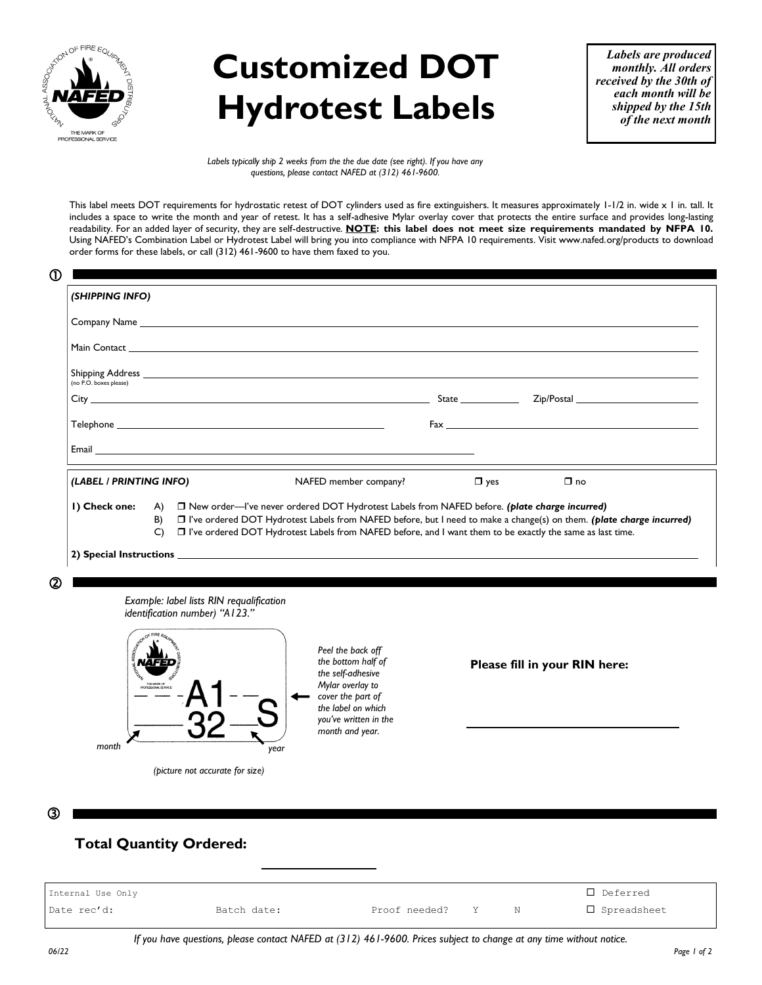

## **Customized DOT Hydrotest Labels**

*Labels are produced monthly. All orders received by the 30th of each month will be shipped by the 15th of the next month*

*Labels typically ship 2 weeks from the the due date (see right). If you have any questions, please contact NAFED at (312) 461-9600.*

This label meets DOT requirements for hydrostatic retest of DOT cylinders used as fire extinguishers. It measures approximately 1-1/2 in. wide x 1 in. tall. It includes a space to write the month and year of retest. It has a self-adhesive Mylar overlay cover that protects the entire surface and provides long-lasting readability. For an added layer of security, they are self-destructive. **NOTE: this label does not meet size requirements mandated by NFPA 10.**  Using NAFED's Combination Label or Hydrotest Label will bring you into compliance with NFPA 10 requirements. Visit www.nafed.org/products to download order forms for these labels, or call (312) 461-9600 to have them faxed to you.

|                         |              | Main Contact <u>Executive Contract of the Contract of the Contract of the Contract of the Contract of the Contract of the Contract of the Contract of the Contract of the Contract of the Contract of the Contract of the Contra</u> |                     |                                                                                                                                                                                                                                |  |
|-------------------------|--------------|--------------------------------------------------------------------------------------------------------------------------------------------------------------------------------------------------------------------------------------|---------------------|--------------------------------------------------------------------------------------------------------------------------------------------------------------------------------------------------------------------------------|--|
|                         |              |                                                                                                                                                                                                                                      |                     |                                                                                                                                                                                                                                |  |
| (no P.O. boxes please)  |              |                                                                                                                                                                                                                                      |                     |                                                                                                                                                                                                                                |  |
|                         |              | $\mathsf{City}$ $\_\_\_\_\_\_\_\_\$                                                                                                                                                                                                  | State _____________ | Zip/Postal 2008 and 2009 and 2009 and 2009 and 2009 and 2009 and 2009 and 2009 and 2009 and 2009 and 2009 and 2009 and 2009 and 2009 and 2009 and 2009 and 2009 and 2009 and 2009 and 2009 and 2009 and 2009 and 2009 and 2009 |  |
|                         |              |                                                                                                                                                                                                                                      |                     | Fax and the state of the state of the state of the state of the state of the state of the state of the state of the state of the state of the state of the state of the state of the state of the state of the state of the st |  |
|                         |              | Email <b>Executive Contract Contract Contract Contract Contract Contract Contract Contract Contract Contract Contract Contract Contract Contract Contract Contract Contract Contract Contract Contract Contract Contract Contrac</b> |                     |                                                                                                                                                                                                                                |  |
| (LABEL / PRINTING INFO) |              | NAFED member company?                                                                                                                                                                                                                | $\Box$ yes          | $\Box$ no                                                                                                                                                                                                                      |  |
| I) Check one:           |              | A) <b>I</b> New order—I've never ordered DOT Hydrotest Labels from NAFED before. (plate charge incurred)                                                                                                                             |                     |                                                                                                                                                                                                                                |  |
|                         | B)           | □ I've ordered DOT Hydrotest Labels from NAFED before, but I need to make a change(s) on them. (plate charge incurred)                                                                                                               |                     |                                                                                                                                                                                                                                |  |
|                         | $\mathsf{C}$ | □ I've ordered DOT Hydrotest Labels from NAFED before, and I want them to be exactly the same as last time.                                                                                                                          |                     |                                                                                                                                                                                                                                |  |
|                         |              |                                                                                                                                                                                                                                      |                     |                                                                                                                                                                                                                                |  |
|                         |              |                                                                                                                                                                                                                                      |                     |                                                                                                                                                                                                                                |  |



*(picture not accurate for size)*

**Please fill in your RIN here:** 

③

## **Total Quantity Ordered:**

| Internal Use Only |             |               |       |   | $\square$ Deferred |
|-------------------|-------------|---------------|-------|---|--------------------|
| Date rec'd:       | Batch date: | Proof needed? | – v − | N | □ Spreadsheet      |